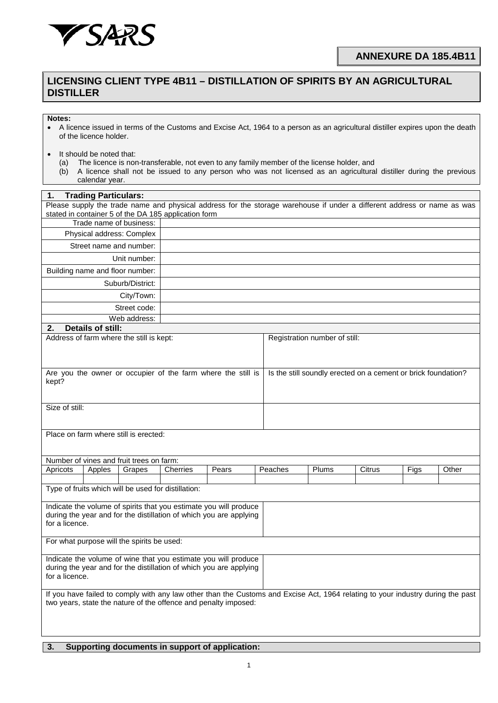

## **LICENSING CLIENT TYPE 4B11 – DISTILLATION OF SPIRITS BY AN AGRICULTURAL DISTILLER**

## **Notes:**

- A licence issued in terms of the Customs and Excise Act, 1964 to a person as an agricultural distiller expires upon the death of the licence holder.
- It should be noted that:
	- (a) The licence is non-transferable, not even to any family member of the license holder, and
	- (b) A licence shall not be issued to any person who was not licensed as an agricultural distiller during the previous calendar year.

| <b>Trading Particulars:</b><br>1.                                                                                                                                               |                          |                                          |                                                                 |       |  |                                                               |       |        |      |       |  |
|---------------------------------------------------------------------------------------------------------------------------------------------------------------------------------|--------------------------|------------------------------------------|-----------------------------------------------------------------|-------|--|---------------------------------------------------------------|-------|--------|------|-------|--|
| Please supply the trade name and physical address for the storage warehouse if under a different address or name as was<br>stated in container 5 of the DA 185 application form |                          |                                          |                                                                 |       |  |                                                               |       |        |      |       |  |
| Trade name of business:                                                                                                                                                         |                          |                                          |                                                                 |       |  |                                                               |       |        |      |       |  |
| Physical address: Complex                                                                                                                                                       |                          |                                          |                                                                 |       |  |                                                               |       |        |      |       |  |
|                                                                                                                                                                                 |                          | Street name and number:                  |                                                                 |       |  |                                                               |       |        |      |       |  |
| Unit number:                                                                                                                                                                    |                          |                                          |                                                                 |       |  |                                                               |       |        |      |       |  |
|                                                                                                                                                                                 |                          | Building name and floor number:          |                                                                 |       |  |                                                               |       |        |      |       |  |
| Suburb/District:                                                                                                                                                                |                          |                                          |                                                                 |       |  |                                                               |       |        |      |       |  |
|                                                                                                                                                                                 |                          | City/Town:                               |                                                                 |       |  |                                                               |       |        |      |       |  |
|                                                                                                                                                                                 |                          | Street code:                             |                                                                 |       |  |                                                               |       |        |      |       |  |
|                                                                                                                                                                                 |                          | Web address:                             |                                                                 |       |  |                                                               |       |        |      |       |  |
| 2.                                                                                                                                                                              | <b>Details of still:</b> |                                          |                                                                 |       |  |                                                               |       |        |      |       |  |
|                                                                                                                                                                                 |                          | Address of farm where the still is kept: |                                                                 |       |  | Registration number of still:                                 |       |        |      |       |  |
|                                                                                                                                                                                 |                          |                                          |                                                                 |       |  |                                                               |       |        |      |       |  |
| Are you the owner or occupier of the farm where the still is<br>kept?                                                                                                           |                          |                                          |                                                                 |       |  | Is the still soundly erected on a cement or brick foundation? |       |        |      |       |  |
|                                                                                                                                                                                 |                          |                                          |                                                                 |       |  |                                                               |       |        |      |       |  |
| Size of still:                                                                                                                                                                  |                          |                                          |                                                                 |       |  |                                                               |       |        |      |       |  |
|                                                                                                                                                                                 |                          |                                          |                                                                 |       |  |                                                               |       |        |      |       |  |
| Place on farm where still is erected:                                                                                                                                           |                          |                                          |                                                                 |       |  |                                                               |       |        |      |       |  |
|                                                                                                                                                                                 |                          |                                          |                                                                 |       |  |                                                               |       |        |      |       |  |
|                                                                                                                                                                                 |                          | Number of vines and fruit trees on farm: |                                                                 |       |  |                                                               |       |        |      |       |  |
| Apricots                                                                                                                                                                        | Apples                   | Grapes                                   | Cherries                                                        | Pears |  | Peaches                                                       | Plums | Citrus | Figs | Other |  |
|                                                                                                                                                                                 |                          |                                          | Type of fruits which will be used for distillation:             |       |  |                                                               |       |        |      |       |  |
|                                                                                                                                                                                 |                          |                                          |                                                                 |       |  |                                                               |       |        |      |       |  |
| Indicate the volume of spirits that you estimate you will produce                                                                                                               |                          |                                          |                                                                 |       |  |                                                               |       |        |      |       |  |
| during the year and for the distillation of which you are applying<br>for a licence.                                                                                            |                          |                                          |                                                                 |       |  |                                                               |       |        |      |       |  |
|                                                                                                                                                                                 |                          |                                          |                                                                 |       |  |                                                               |       |        |      |       |  |
| For what purpose will the spirits be used:                                                                                                                                      |                          |                                          |                                                                 |       |  |                                                               |       |        |      |       |  |
| Indicate the volume of wine that you estimate you will produce                                                                                                                  |                          |                                          |                                                                 |       |  |                                                               |       |        |      |       |  |
| during the year and for the distillation of which you are applying<br>for a licence.                                                                                            |                          |                                          |                                                                 |       |  |                                                               |       |        |      |       |  |
| If you have failed to comply with any law other than the Customs and Excise Act, 1964 relating to your industry during the past                                                 |                          |                                          |                                                                 |       |  |                                                               |       |        |      |       |  |
|                                                                                                                                                                                 |                          |                                          | two years, state the nature of the offence and penalty imposed: |       |  |                                                               |       |        |      |       |  |
|                                                                                                                                                                                 |                          |                                          |                                                                 |       |  |                                                               |       |        |      |       |  |
|                                                                                                                                                                                 |                          |                                          |                                                                 |       |  |                                                               |       |        |      |       |  |
|                                                                                                                                                                                 |                          |                                          |                                                                 |       |  |                                                               |       |        |      |       |  |